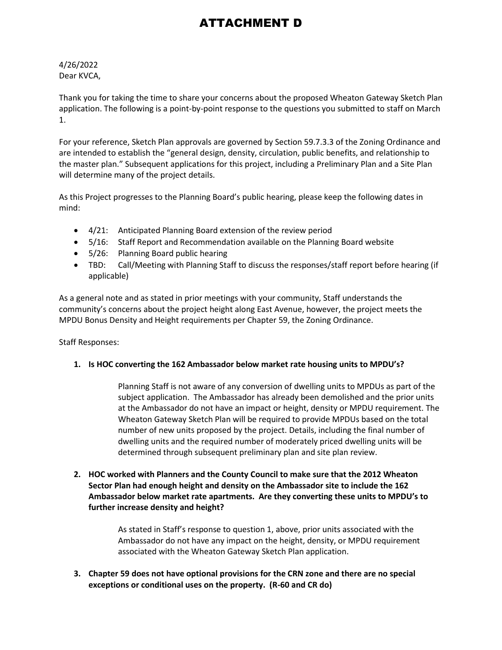# ATTACHMENT D

## 4/26/2022 Dear KVCA,

Thank you for taking the time to share your concerns about the proposed Wheaton Gateway Sketch Plan application. The following is a point-by-point response to the questions you submitted to staff on March 1.

For your reference, Sketch Plan approvals are governed by Section 59.7.3.3 of the Zoning Ordinance and are intended to establish the "general design, density, circulation, public benefits, and relationship to the master plan." Subsequent applications for this project, including a Preliminary Plan and a Site Plan will determine many of the project details.

As this Project progresses to the Planning Board's public hearing, please keep the following dates in mind:

- 4/21: Anticipated Planning Board extension of the review period
- 5/16: Staff Report and Recommendation available on the Planning Board website
- 5/26: Planning Board public hearing
- TBD: Call/Meeting with Planning Staff to discuss the responses/staff report before hearing (if applicable)

As a general note and as stated in prior meetings with your community, Staff understands the community's concerns about the project height along East Avenue, however, the project meets the MPDU Bonus Density and Height requirements per Chapter 59, the Zoning Ordinance.

Staff Responses:

## **1. Is HOC converting the 162 Ambassador below market rate housing units to MPDU's?**

Planning Staff is not aware of any conversion of dwelling units to MPDUs as part of the subject application. The Ambassador has already been demolished and the prior units at the Ambassador do not have an impact or height, density or MPDU requirement. The Wheaton Gateway Sketch Plan will be required to provide MPDUs based on the total number of new units proposed by the project. Details, including the final number of dwelling units and the required number of moderately priced dwelling units will be determined through subsequent preliminary plan and site plan review.

**2. HOC worked with Planners and the County Council to make sure that the 2012 Wheaton Sector Plan had enough height and density on the Ambassador site to include the 162 Ambassador below market rate apartments. Are they converting these units to MPDU's to further increase density and height?**

> As stated in Staff's response to question 1, above, prior units associated with the Ambassador do not have any impact on the height, density, or MPDU requirement associated with the Wheaton Gateway Sketch Plan application.

**3. Chapter 59 does not have optional provisions for the CRN zone and there are no special exceptions or conditional uses on the property. (R-60 and CR do)**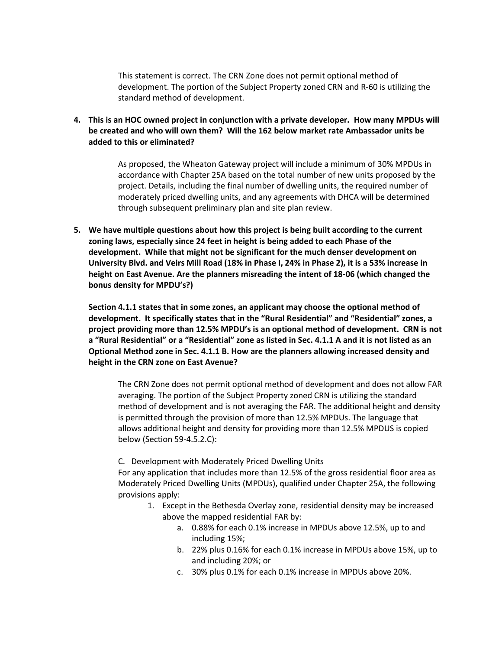This statement is correct. The CRN Zone does not permit optional method of development. The portion of the Subject Property zoned CRN and R-60 is utilizing the standard method of development.

**4. This is an HOC owned project in conjunction with a private developer. How many MPDUs will be created and who will own them? Will the 162 below market rate Ambassador units be added to this or eliminated?**

> As proposed, the Wheaton Gateway project will include a minimum of 30% MPDUs in accordance with Chapter 25A based on the total number of new units proposed by the project. Details, including the final number of dwelling units, the required number of moderately priced dwelling units, and any agreements with DHCA will be determined through subsequent preliminary plan and site plan review.

**5. We have multiple questions about how this project is being built according to the current zoning laws, especially since 24 feet in height is being added to each Phase of the development. While that might not be significant for the much denser development on University Blvd. and Veirs Mill Road (18% in Phase I, 24% in Phase 2), it is a 53% increase in height on East Avenue. Are the planners misreading the intent of 18-06 (which changed the bonus density for MPDU's?)**

**Section 4.1.1 states that in some zones, an applicant may choose the optional method of development. It specifically states that in the "Rural Residential" and "Residential" zones, a project providing more than 12.5% MPDU's is an optional method of development. CRN is not a "Rural Residential" or a "Residential" zone as listed in Sec. 4.1.1 A and it is not listed as an Optional Method zone in Sec. 4.1.1 B. How are the planners allowing increased density and height in the CRN zone on East Avenue?**

The CRN Zone does not permit optional method of development and does not allow FAR averaging. The portion of the Subject Property zoned CRN is utilizing the standard method of development and is not averaging the FAR. The additional height and density is permitted through the provision of more than 12.5% MPDUs. The language that allows additional height and density for providing more than 12.5% MPDUS is copied below (Section 59-4.5.2.C):

C. Development with Moderately Priced Dwelling Units

For any application that includes more than 12.5% of the gross residential floor area as Moderately Priced Dwelling Units (MPDUs), qualified under Chapter 25A, the following provisions apply:

- 1. Except in the Bethesda Overlay zone, residential density may be increased above the mapped residential FAR by:
	- a. 0.88% for each 0.1% increase in MPDUs above 12.5%, up to and including 15%;
	- b. 22% plus 0.16% for each 0.1% increase in MPDUs above 15%, up to and including 20%; or
	- c. 30% plus 0.1% for each 0.1% increase in MPDUs above 20%.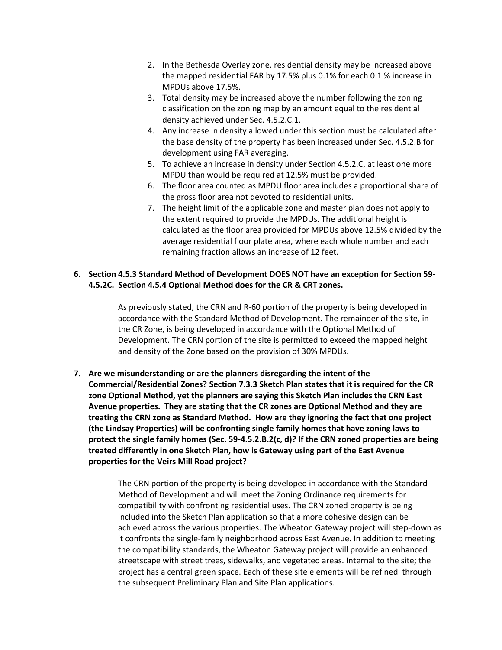- 2. In the Bethesda Overlay zone, residential density may be increased above the mapped residential FAR by 17.5% plus 0.1% for each 0.1 % increase in MPDUs above 17.5%.
- 3. Total density may be increased above the number following the zoning classification on the zoning map by an amount equal to the residential density achieved under Sec. 4.5.2.C.1.
- 4. Any increase in density allowed under this section must be calculated after the base density of the property has been increased under Sec. 4.5.2.B for development using FAR averaging.
- 5. To achieve an increase in density under Section 4.5.2.C, at least one more MPDU than would be required at 12.5% must be provided.
- 6. The floor area counted as MPDU floor area includes a proportional share of the gross floor area not devoted to residential units.
- 7. The height limit of the applicable zone and master plan does not apply to the extent required to provide the MPDUs. The additional height is calculated as the floor area provided for MPDUs above 12.5% divided by the average residential floor plate area, where each whole number and each remaining fraction allows an increase of 12 feet.

## **6. Section 4.5.3 Standard Method of Development DOES NOT have an exception for Section 59- 4.5.2C. Section 4.5.4 Optional Method does for the CR & CRT zones.**

As previously stated, the CRN and R-60 portion of the property is being developed in accordance with the Standard Method of Development. The remainder of the site, in the CR Zone, is being developed in accordance with the Optional Method of Development. The CRN portion of the site is permitted to exceed the mapped height and density of the Zone based on the provision of 30% MPDUs.

**7. Are we misunderstanding or are the planners disregarding the intent of the Commercial/Residential Zones? Section 7.3.3 Sketch Plan states that it is required for the CR zone Optional Method, yet the planners are saying this Sketch Plan includes the CRN East Avenue properties. They are stating that the CR zones are Optional Method and they are treating the CRN zone as Standard Method. How are they ignoring the fact that one project (the Lindsay Properties) will be confronting single family homes that have zoning laws to protect the single family homes (Sec. 59-4.5.2.B.2(c, d)? If the CRN zoned properties are being treated differently in one Sketch Plan, how is Gateway using part of the East Avenue properties for the Veirs Mill Road project?**

> The CRN portion of the property is being developed in accordance with the Standard Method of Development and will meet the Zoning Ordinance requirements for compatibility with confronting residential uses. The CRN zoned property is being included into the Sketch Plan application so that a more cohesive design can be achieved across the various properties. The Wheaton Gateway project will step-down as it confronts the single-family neighborhood across East Avenue. In addition to meeting the compatibility standards, the Wheaton Gateway project will provide an enhanced streetscape with street trees, sidewalks, and vegetated areas. Internal to the site; the project has a central green space. Each of these site elements will be refined through the subsequent Preliminary Plan and Site Plan applications.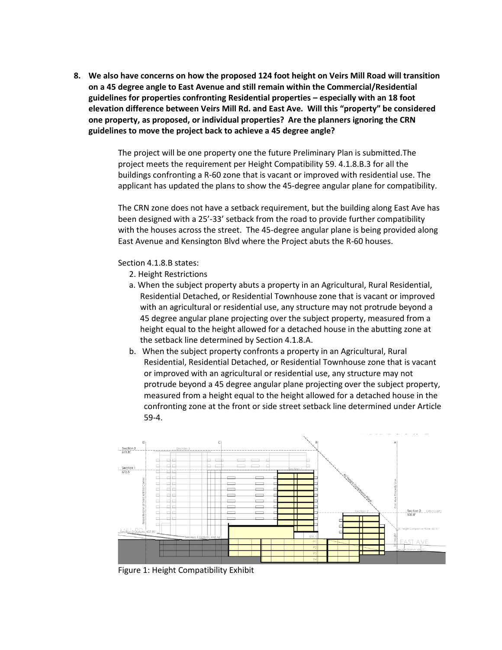**8. We also have concerns on how the proposed 124 foot height on Veirs Mill Road will transition on a 45 degree angle to East Avenue and still remain within the Commercial/Residential guidelines for properties confronting Residential properties – especially with an 18 foot elevation difference between Veirs Mill Rd. and East Ave. Will this "property" be considered one property, as proposed, or individual properties? Are the planners ignoring the CRN guidelines to move the project back to achieve a 45 degree angle?**

> The project will be one property one the future Preliminary Plan is submitted.The project meets the requirement per Height Compatibility 59. 4.1.8.B.3 for all the buildings confronting a R-60 zone that is vacant or improved with residential use. The applicant has updated the plans to show the 45-degree angular plane for compatibility.

> The CRN zone does not have a setback requirement, but the building along East Ave has been designed with a 25'-33' setback from the road to provide further compatibility with the houses across the street. The 45-degree angular plane is being provided along East Avenue and Kensington Blvd where the Project abuts the R-60 houses.

#### Section 4.1.8.B states:

- 2. Height Restrictions
- a. When the subject property abuts a property in an Agricultural, Rural Residential, Residential Detached, or Residential Townhouse zone that is vacant or improved with an agricultural or residential use, any structure may not protrude beyond a 45 degree angular plane projecting over the subject property, measured from a height equal to the height allowed for a detached house in the abutting zone at the setback line determined by Section 4.1.8.A.
- b. When the subject property confronts a property in an Agricultural, Rural Residential, Residential Detached, or Residential Townhouse zone that is vacant or improved with an agricultural or residential use, any structure may not protrude beyond a 45 degree angular plane projecting over the subject property, measured from a height equal to the height allowed for a detached house in the confronting zone at the front or side street setback line determined under Article 59-4.



Figure 1: Height Compatibility Exhibit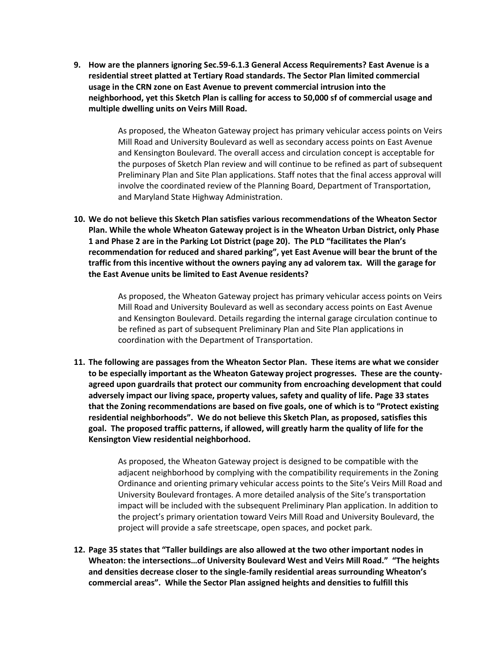**9. How are the planners ignoring Sec.59-6.1.3 General Access Requirements? East Avenue is a residential street platted at Tertiary Road standards. The Sector Plan limited commercial usage in the CRN zone on East Avenue to prevent commercial intrusion into the neighborhood, yet this Sketch Plan is calling for access to 50,000 sf of commercial usage and multiple dwelling units on Veirs Mill Road.**

> As proposed, the Wheaton Gateway project has primary vehicular access points on Veirs Mill Road and University Boulevard as well as secondary access points on East Avenue and Kensington Boulevard. The overall access and circulation concept is acceptable for the purposes of Sketch Plan review and will continue to be refined as part of subsequent Preliminary Plan and Site Plan applications. Staff notes that the final access approval will involve the coordinated review of the Planning Board, Department of Transportation, and Maryland State Highway Administration.

**10. We do not believe this Sketch Plan satisfies various recommendations of the Wheaton Sector Plan. While the whole Wheaton Gateway project is in the Wheaton Urban District, only Phase 1 and Phase 2 are in the Parking Lot District (page 20). The PLD "facilitates the Plan's recommendation for reduced and shared parking", yet East Avenue will bear the brunt of the traffic from this incentive without the owners paying any ad valorem tax. Will the garage for the East Avenue units be limited to East Avenue residents?**

> As proposed, the Wheaton Gateway project has primary vehicular access points on Veirs Mill Road and University Boulevard as well as secondary access points on East Avenue and Kensington Boulevard. Details regarding the internal garage circulation continue to be refined as part of subsequent Preliminary Plan and Site Plan applications in coordination with the Department of Transportation.

**11. The following are passages from the Wheaton Sector Plan. These items are what we consider to be especially important as the Wheaton Gateway project progresses. These are the countyagreed upon guardrails that protect our community from encroaching development that could adversely impact our living space, property values, safety and quality of life. Page 33 states that the Zoning recommendations are based on five goals, one of which is to "Protect existing residential neighborhoods". We do not believe this Sketch Plan, as proposed, satisfies this goal. The proposed traffic patterns, if allowed, will greatly harm the quality of life for the Kensington View residential neighborhood.**

> As proposed, the Wheaton Gateway project is designed to be compatible with the adjacent neighborhood by complying with the compatibility requirements in the Zoning Ordinance and orienting primary vehicular access points to the Site's Veirs Mill Road and University Boulevard frontages. A more detailed analysis of the Site's transportation impact will be included with the subsequent Preliminary Plan application. In addition to the project's primary orientation toward Veirs Mill Road and University Boulevard, the project will provide a safe streetscape, open spaces, and pocket park.

**12. Page 35 states that "Taller buildings are also allowed at the two other important nodes in Wheaton: the intersections…of University Boulevard West and Veirs Mill Road." "The heights and densities decrease closer to the single-family residential areas surrounding Wheaton's commercial areas". While the Sector Plan assigned heights and densities to fulfill this**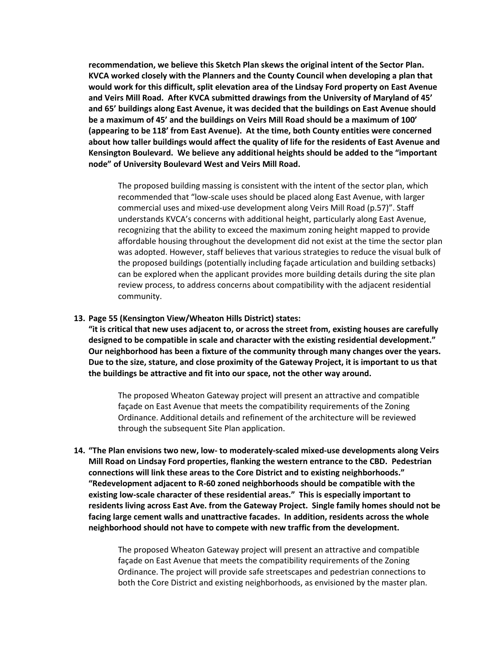**recommendation, we believe this Sketch Plan skews the original intent of the Sector Plan. KVCA worked closely with the Planners and the County Council when developing a plan that would work for this difficult, split elevation area of the Lindsay Ford property on East Avenue and Veirs Mill Road. After KVCA submitted drawings from the University of Maryland of 45' and 65' buildings along East Avenue, it was decided that the buildings on East Avenue should be a maximum of 45' and the buildings on Veirs Mill Road should be a maximum of 100' (appearing to be 118' from East Avenue). At the time, both County entities were concerned about how taller buildings would affect the quality of life for the residents of East Avenue and Kensington Boulevard. We believe any additional heights should be added to the "important node" of University Boulevard West and Veirs Mill Road.** 

The proposed building massing is consistent with the intent of the sector plan, which recommended that "low-scale uses should be placed along East Avenue, with larger commercial uses and mixed-use development along Veirs Mill Road (p.57)". Staff understands KVCA's concerns with additional height, particularly along East Avenue, recognizing that the ability to exceed the maximum zoning height mapped to provide affordable housing throughout the development did not exist at the time the sector plan was adopted. However, staff believes that various strategies to reduce the visual bulk of the proposed buildings (potentially including façade articulation and building setbacks) can be explored when the applicant provides more building details during the site plan review process, to address concerns about compatibility with the adjacent residential community.

#### **13. Page 55 (Kensington View/Wheaton Hills District) states:**

**"it is critical that new uses adjacent to, or across the street from, existing houses are carefully designed to be compatible in scale and character with the existing residential development." Our neighborhood has been a fixture of the community through many changes over the years. Due to the size, stature, and close proximity of the Gateway Project, it is important to us that the buildings be attractive and fit into our space, not the other way around.**

The proposed Wheaton Gateway project will present an attractive and compatible façade on East Avenue that meets the compatibility requirements of the Zoning Ordinance. Additional details and refinement of the architecture will be reviewed through the subsequent Site Plan application.

**14. "The Plan envisions two new, low- to moderately-scaled mixed-use developments along Veirs Mill Road on Lindsay Ford properties, flanking the western entrance to the CBD. Pedestrian connections will link these areas to the Core District and to existing neighborhoods." "Redevelopment adjacent to R-60 zoned neighborhoods should be compatible with the existing low-scale character of these residential areas." This is especially important to residents living across East Ave. from the Gateway Project. Single family homes should not be facing large cement walls and unattractive facades. In addition, residents across the whole neighborhood should not have to compete with new traffic from the development.** 

> The proposed Wheaton Gateway project will present an attractive and compatible façade on East Avenue that meets the compatibility requirements of the Zoning Ordinance. The project will provide safe streetscapes and pedestrian connections to both the Core District and existing neighborhoods, as envisioned by the master plan.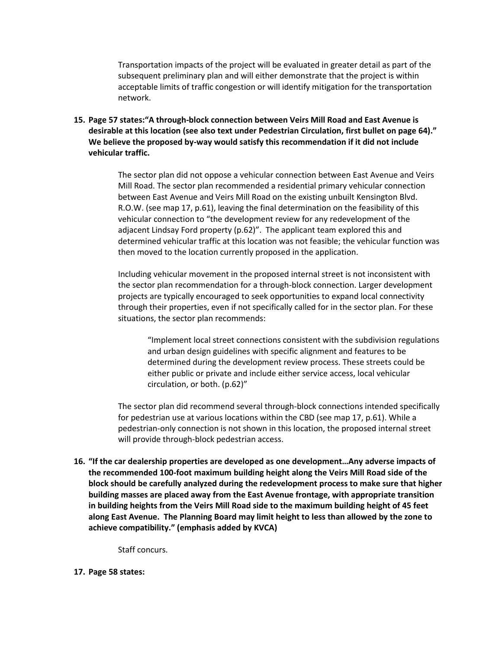Transportation impacts of the project will be evaluated in greater detail as part of the subsequent preliminary plan and will either demonstrate that the project is within acceptable limits of traffic congestion or will identify mitigation for the transportation network.

**15. Page 57 states:"A through-block connection between Veirs Mill Road and East Avenue is desirable at this location (see also text under Pedestrian Circulation, first bullet on page 64)." We believe the proposed by-way would satisfy this recommendation if it did not include vehicular traffic.**

> The sector plan did not oppose a vehicular connection between East Avenue and Veirs Mill Road. The sector plan recommended a residential primary vehicular connection between East Avenue and Veirs Mill Road on the existing unbuilt Kensington Blvd. R.O.W. (see map 17, p.61), leaving the final determination on the feasibility of this vehicular connection to "the development review for any redevelopment of the adjacent Lindsay Ford property (p.62)". The applicant team explored this and determined vehicular traffic at this location was not feasible; the vehicular function was then moved to the location currently proposed in the application.

Including vehicular movement in the proposed internal street is not inconsistent with the sector plan recommendation for a through-block connection. Larger development projects are typically encouraged to seek opportunities to expand local connectivity through their properties, even if not specifically called for in the sector plan. For these situations, the sector plan recommends:

"Implement local street connections consistent with the subdivision regulations and urban design guidelines with specific alignment and features to be determined during the development review process. These streets could be either public or private and include either service access, local vehicular circulation, or both. (p.62)"

The sector plan did recommend several through-block connections intended specifically for pedestrian use at various locations within the CBD (see map 17, p.61). While a pedestrian-only connection is not shown in this location, the proposed internal street will provide through-block pedestrian access.

**16. "If the car dealership properties are developed as one development…Any adverse impacts of the recommended 100-foot maximum building height along the Veirs Mill Road side of the block should be carefully analyzed during the redevelopment process to make sure that higher building masses are placed away from the East Avenue frontage, with appropriate transition in building heights from the Veirs Mill Road side to the maximum building height of 45 feet along East Avenue. The Planning Board may limit height to less than allowed by the zone to achieve compatibility." (emphasis added by KVCA)**

Staff concurs.

#### **17. Page 58 states:**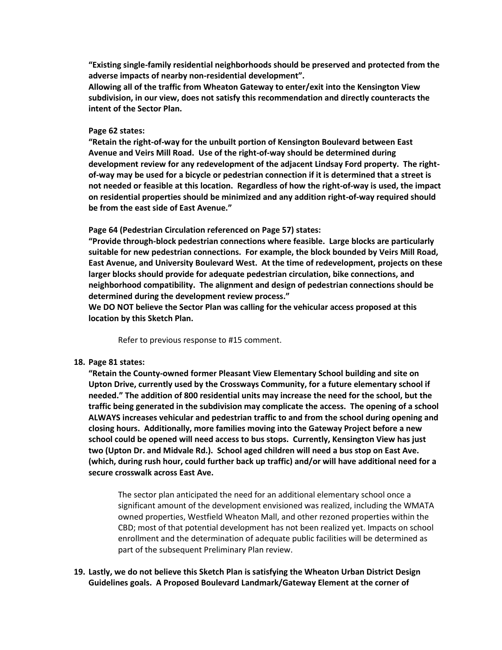**"Existing single-family residential neighborhoods should be preserved and protected from the adverse impacts of nearby non-residential development".** 

**Allowing all of the traffic from Wheaton Gateway to enter/exit into the Kensington View subdivision, in our view, does not satisfy this recommendation and directly counteracts the intent of the Sector Plan.**

#### **Page 62 states:**

**"Retain the right-of-way for the unbuilt portion of Kensington Boulevard between East Avenue and Veirs Mill Road. Use of the right-of-way should be determined during development review for any redevelopment of the adjacent Lindsay Ford property. The rightof-way may be used for a bicycle or pedestrian connection if it is determined that a street is not needed or feasible at this location. Regardless of how the right-of-way is used, the impact on residential properties should be minimized and any addition right-of-way required should be from the east side of East Avenue."**

**Page 64 (Pedestrian Circulation referenced on Page 57) states:**

**"Provide through-block pedestrian connections where feasible. Large blocks are particularly suitable for new pedestrian connections. For example, the block bounded by Veirs Mill Road, East Avenue, and University Boulevard West. At the time of redevelopment, projects on these larger blocks should provide for adequate pedestrian circulation, bike connections, and neighborhood compatibility. The alignment and design of pedestrian connections should be determined during the development review process."** 

**We DO NOT believe the Sector Plan was calling for the vehicular access proposed at this location by this Sketch Plan.**

Refer to previous response to #15 comment.

#### **18. Page 81 states:**

**"Retain the County-owned former Pleasant View Elementary School building and site on Upton Drive, currently used by the Crossways Community, for a future elementary school if needed." The addition of 800 residential units may increase the need for the school, but the traffic being generated in the subdivision may complicate the access. The opening of a school ALWAYS increases vehicular and pedestrian traffic to and from the school during opening and closing hours. Additionally, more families moving into the Gateway Project before a new school could be opened will need access to bus stops. Currently, Kensington View has just two (Upton Dr. and Midvale Rd.). School aged children will need a bus stop on East Ave. (which, during rush hour, could further back up traffic) and/or will have additional need for a secure crosswalk across East Ave.**

The sector plan anticipated the need for an additional elementary school once a significant amount of the development envisioned was realized, including the WMATA owned properties, Westfield Wheaton Mall, and other rezoned properties within the CBD; most of that potential development has not been realized yet. Impacts on school enrollment and the determination of adequate public facilities will be determined as part of the subsequent Preliminary Plan review.

### **19. Lastly, we do not believe this Sketch Plan is satisfying the Wheaton Urban District Design Guidelines goals. A Proposed Boulevard Landmark/Gateway Element at the corner of**